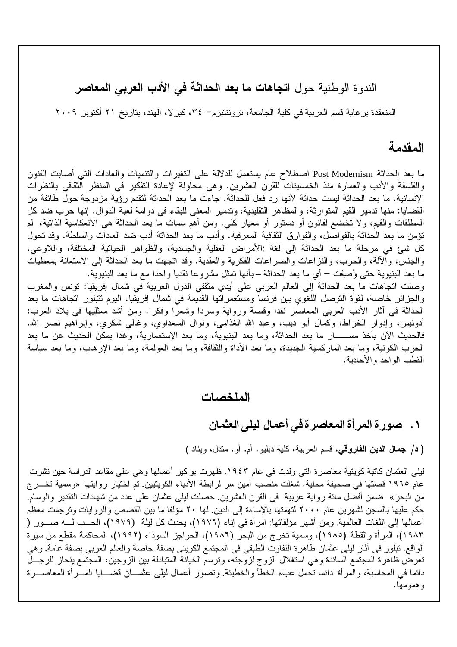الندوة الوطنية حول ا**تجاهات ما بعد الحداثة في الأدب العربي المعاصر** 

المنعقدة برعاية قسم العربية في كلية الجامعة، تروننتبرم- ٣٤، كيرلا، الهند، بتاريخ ٢١ أكتوبر ٢٠٠٩

### المقدمة

القطب الواحد والأحادية.

ما بعد الحداثة Post Modernism اصطلاح عام يستعمل للدلالة على التغير ات والتنميات والعادات التي أصابت الفنون والفلسفة والأدب والعمارة منذ الخمسينات للقرن العشرين. وهي محاولة لإعادة التفكير في المنظر الثقافي بالنظرات الإنسانية. ما بعد الحداثة ليست حداثة لأنها رد فعل للحداثة. جاءت ما بعد الحداثة لتقدم رؤية مزدوجة حول طائفة من القضايا: منها تدمير القيم المتوارثة، والمظاهر التقليدية، وتدمير المعنى للبقاء في دوامة لعبة الدوال. إنها حرب ضد كل المطلقات والقيم، ولا تخضع لقانون أو دستور أو معيار كلي. ومن أهم سمات ما بعد الحداثة هي الانعكاسية الذاتية، لم نؤمن ما بعد الحداثة بالفواصل، والفوارق الثقافية المعرفية. وأدب ما بعد الحداثة أدب ضد العادات والسلطة. وقد نحول كل شيئ في مرحلة ما بعد الحداثة إلى لغة :الأمراض العقلية والجسدية، والظواهر الحياتية المختلفة، واللاوعي، والجنس، والألة، والحرب، والنزاعات والصراعات الفكرية والعقدية. وقد اتجهت ما بعد الحداثة إلى الاستعانة بمعطيات ما بعد البنيوية حتى وُصفِت – أي ما بعد الحداثة – بأنها تمثَّل مشروعا نقديا واحدا مع ما بعد البنيوية. وصلت اتجاهات ما بعد الحداثة إلى العالم العربي على أيدي مثقفي الدول العربية في شمال إفريقيا: نونس والمغرب والجزائر خاصة، لقوة التوصل اللغوي بين فرنسا ومستعمراتها القديمة في شمال إفريقيا. اليوم تتبلور اتجاهات ما بعد الحداثة في أثار الأدب العربي المعاصر نقدا وقصة ورواية وسردا وشعرًا وفكرًا. ومن أشد ممثليها في بلاد العرب: أدونيس، وإدوار الخراط، وكمال أبو ديب، وعبد الله الغذامي، ونوال السعداوي، وغالبي شكري، وإبراهيم نصر الله. فالحديث الأن يأخذ مســـــــار ما بعد الحداثة، وما بعد البنيوية، وما بعد الإستعمارية، وغدا يمكن الحديث عن ما بعد الحرب الكونية، وما بعد الماركسية الجديدة، وما بعد الأداة والنقافة، وما بعد العولمة، وما بعد الإرهاب، وما بعد سياسة

#### الملخصات

#### ١. صورة المرأة المعاصرة في أعمال ليلي العثمان

( د/ جمال الدين الفاروقي، قسم العربية، كلية دبليو . أم. أو ، متدل، ويناد )

ليلي العثمان كاتبة كويتية معاصرة التي ولدت في عام ١٩٤٣. ظهرت بواكير أعمالها وهي علي مقاعد الدراسة حين نشرت عام ١٩٦٥ قصتها في صحيفة محلية. شغلت منصب أمين سر لرابطة الأدباء الكويتيين. تم اختيار روايتها «وسمية تخـــرج من البحر » ضمن أفضل مائة رواية عربية في القرن العشرين. حصلت ليلي عثمان علي عدد من شهادات التقدير والوسام. حكم عليها بالسجن لشهرين عام ٢٠٠٠ لتهمتها بالإساءة إلى الدين. لها ٢٠ مؤلفا ما بين القصص والروايات وترجمت معظم أعمالها إلى اللغات العالمية. ومن أشهر مؤلفاتها: امرأة في إناء (١٩٧٦)، يحدث كل ليلة (١٩٧٩)، الحــب لـــه صـــور ( ١٩٨٣)، المرأة والقطة (١٩٨٥)، وسمية تخرج من البحر (١٩٨٦)، الحواجز السوداء (١٩٩٢)، المحاكمة مقطع من سيرة الواقع. تبلور في أثار ليلي عثمان ظاهرة التفاوت الطبقي في المجتمع الكويتي بصفة خاصة والعالم العربي بصفة عامة. وهي تعرض ظاهرة المجتمع السائدة وهي استغلال الزوج لزوجته، وترسم الخيانة المتبادلة بين الزوجين، المجتمع ينحاز للرجــل دائمًا في المحاسبة، والمرأة دائمًا نحمل عبء الخطأ والخطيئة. وتصور أعمال ليلي عثمــان قضـــايا المـــرأة المعاصـــرة و همو مها.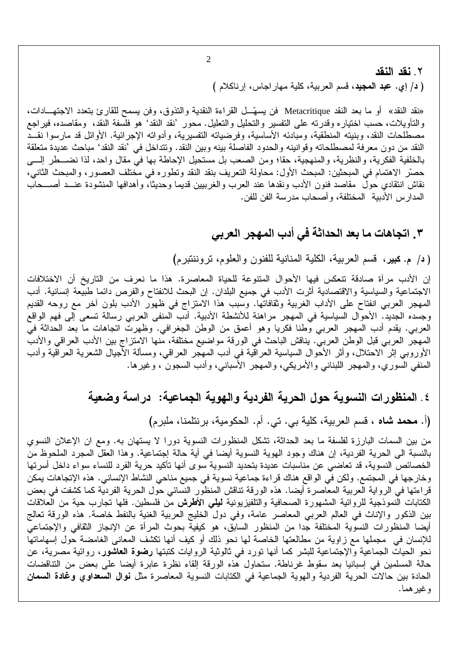# ٢. نقد النقد ( د/ إي. ع**بد المجيد**، قسم العربية، كلية مهار اجاس، إرناكلام )

«نقد النقد» أو ما بعد النقد Metacritique فن يسهَّــل القراءة النقدية والنذوق، وفن يسمح للقارئ بتعدد الاجتهـــادات، والتأويلات، حسب اختياره وقدرته على التفسير والتحليل والتعليل. محور 'نقد النقد' هو فلسفة النقد، ومقاصده، فيراجع مصطلحات النقد، وبنيته المنطقية، ومبادئه الأساسية، وفرضياته التفسيرية، وأدواته الإجرائية. الأوائل قد مارسوا نقــد النقد من دون معرفة لمصطلحاته وقوانينه والحدود الفاصلة بينه وبين النقد. ونتداخل في 'نقد النقد' مباحث عديدة متعلقة بالخلفية الفكرية، والنظرية، والمنهجية، حقا؛ ومن الصعب بل مستحيل الإحاطة بها في مقال واحد، لذا نضـــطر إلــــي حصْرِ الاهتمام في المبحثين: المبحث الأول: محاولة النعريف بنقد النقد وتطوره في مختلف العصور، والمبحث الثاني، نقاش انتقادي حول مقاصد فنون الأدب ونقدها عند العرب والغرببين قديما وحديثا، وأهدافها المنشودة عنــد أصـــحاب المدارس الأدبية -المختلفة، وأصحاب مدرسة الفن للفن.

#### ٣. اتجاهات ما بعد الحداثة في أدب المهجر العربي

( د/ م. كبير، قسم العربية، الكلية المنانية للفنون والعلوم، تروننتبرم)

إن الأدب مرأة صادقة تتعكس فيها الأحوال المتنوعة للحياة المعاصرة. هذا ما نعرف من التاريخ أن الاختلافات الاجتماعية والسياسية والاقتصادية أثرت الأدب في جميع البلدان. إن البحث للانفتاح والفرص دائما طبيعة إنسانية. أدب المُهجِّر العربي انفتاح على الأداب الغربية وثقافاتها. وسبب هذا الامتزاج في ظهور الأدب بلون أخر مع روحه القديم وجسده الجديد. الأحوال السياسية في المهجر مراهنة للأنشطة الأدبية. أدب المنفي العربي رسالة تسعى إلى فهم الواقع العربي. يقدم أدب المهجر العربي وطنا فكريا وهو أعمق من الوطن الجغرافي. وظهرت اتجاهات ما بعد الحداثة في المهجر العربي قبل الوطن العربي. يناقش الباحث في الورقة مواضيع مختلفة، منها الامتزاج بين الأدب العراقي والأدب الأوروبي إثر الاحتلال، وأثر الأحوال السياسية العراقية في أدب المهجَّر العراقي، ومسألة الأجيال الشعرية العراقية وأدب المنفي السوري، والمهجر اللبناني والأمريكي، والمهجر الأسباني، وأدب السجون ، وغيرها.

# ٤. المنظورات النسوية حول الحرية الفردية والهوية الجماعية: دراسة وضعية

(أ. محمد شاه ، قسم العربية، كلية بي. تي. أم. الحكومية، برنتلمنا، ملبرم)

من بين السمات البارزة لفلسفة ما بعد الحداثة، تشكل المنظورات النسوية دورا لا يستهان به. ومع ان الإعلان النسوى بالنسبة الى الحرية الفردية، إن هناك وجود الهوية النسوية أيضا في أية حالة إجتماعية. وهذا العقل المجرد الملحوظ من الخصائص النسوية، قد تعاضى عن مناسبات عديدة بتحديد النسوية سوى أنها تأكيد حرية الفرد للنساء سواء داخل أسرتها وخارجها في المجتمع. ولكن في الواقع هناك قراءة جماعية نسوية في جميع مناحي النشاط الإنساني. هذه الإتجاهات يمكن قراءتها في الرواية العربية المعاصرة أيضا. هذه الورقة تناقش المنظور النسائي حول الحرية الفردية كما كشفت في بعض الكتابات النموذجية للروائية المشهورة الصحافية والتلفيزيونية **ليل**ى ا**لأطرش** من فلسطين. فلها تجارب حية من العلاقات بين الذكور والإناث في العالم العربي المعاصر عامة، وفي دول الخليج العربية الغنية بالنفط خاصة. هذه الورقة تعالج أيضا المنظورات النسوية المختلفة جدا من المنظور السابق، هو كيفية بحوث المرأة عن الإنجاز الثقافي والإجتماعي للإنسان في مجملها مع زاوية من مطالعتها الخاصة لها نحو ذلك أو كيف أنها نكشف المعاني الغامضة حول إسهاماتها نحو الحيات الجماعية والإجتماعية للبشر كما أنها تورد في ثالوثية الروايات كتبتها **رضوة العاشور**، روائية مصرية، عن حالة المسلمين في إسبانيا بعد سقوط غرناطة. ستحاول هذه الورقة إلقاء نظرة عابرة أيضا على بعض من التناقضات الحادة بين حالات الحرية الفردية والهوية الجماعية في الكتابات النسوية المعاصرة مثل **نوال السعداوي وغادة السمان** و غير هما.

 $\overline{2}$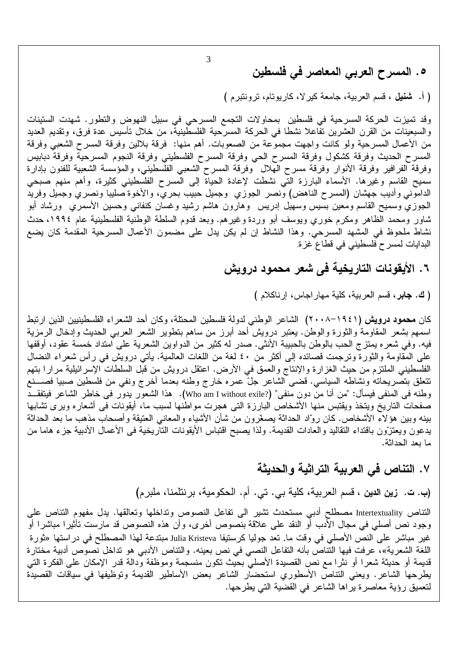3

٥. المسرح العربي المعاصر في فلسطين

( أ. شَنْظِل ، قَسْمِ العربية، جامعة كَبْرٍ لا، كَارِيوِتَام، تَروِنَتَبَرَمَ )

وقد تميزت الحركة المسرحية في فلسطين بمحاولات التجمع المسرحي في سبيل النهوض والتطور . شهدت الستينات والسبعينات من القرن العشرين تفاعلا نشطا في الحركة المسرحية الفلسطينية، من خلال تأسيس عدة فرق، وتقديم العديد من الأعمال المسرحية ولو كانت واجهت مجموعة من الصعوبات. أهم منها: فرقة بلالين وفرقة المسرح الشعبي وفرقة المسرح الحديث وفرقة كشكول وفرقة المسرح الحي وفرقة المسرح الفلسطيني وفرقة النجوم المسرحية وفرقة دبابيس وفرقة الفرافير وفرقة الأنوار وفرقة مسرح الهلال وفرقة المسرح الشعبي الفلسطيني، والمؤسسة الشعبية للفنون بإدارة سميح القاسم وغيرها. الأسماء البارزة التي نشطت لإعادة الحياة إلى المسرح الفلسطيني كثيرة، وأهم منهم صبحي الداموني وأديب جهشان (المسرح الناهض) ونصر الجوزي وجميل حبيب بحري، والأخوة صليبا ونصري وجميل وفريد المجوزي وسميح القاسم ومعين بسيس وسهيل إدريس وهارون هاشم رشيد وغسان كنفاني وحسين الأسمري ورشاد أبو شاور ومحمد الظاهر ومكرم خوري ويوسف أبو وردة وغيرهم. وبعد قدوم السلطة الوطنية الفلسطينية عام ١٩٩٤، حدث نشاط ملحوظ في المشهد المسرحي. وهذا النشاط إن لم يكن يدل على مضمون الأعمال المسرحية المقدمة كان يضع البدايات لمسرح فلسطيني في قطاع غزة.

# ٦. الأيقونات التاريخية في شعر محمود درويش

( ك. جابر ، قسم العربية، كلية مهار اجاس، إرناكلام )

كان **محمود درويش (١٩٤١–٢٠٠٨) ال**شاعر الوطني لدولة فلسطين المحتلة، وكان أحد الشعراء الفلسطينيين الذين ارتبط اسمهم بشعر المقاومة والثورة والوطن. يعتبر درويش أحد أبرز من ساهم بتطوير الشعر العربي الحديث وإدخال الرمزية فيه. وفي شعره يمتزج الحب بالوطن بالحبيبة الأنثى. صدر له كثير من الدواوين الشعرية على امتداد خمسة عقود، أوقفها على المقاومة والثورة وترجمت قصائده إلى أكثر من ٤٠ لغة من اللغات العالمية. يأتـي درويش فـي رأس شعراء النضـال الفلسطيني الملتزم من حيث الغزارة والإنتاج والعمق في الأرض. اعتقل درويش من قبل السلطات الإسرائيلية مرارا بتهم نتعلَّق بتصريحاته ونشاطه السياسي. قضيي الشاعر جلَّ عمره خارج وطنه بعدما أخرج ونفي من فلسطين صبيا فصــــنع وطنه في المنفى فيسأل: "من أنا من دون منفى" (?Who am I without exile). هذا الشعور يدور في خاطر الشاعر فيتفقــد صفحات الناريخ ويتخذ ويقتبس منها الأشخاص البارزة التبي هجرت مواطنها لسبب ما، أيقونات في أشعاره ويرى تشابها بينه وبين هؤلاء الأشخاص. كان روّاد الحداثة يصغّرون من شأن الأشياء والمعانـى العتيقة وأصـحاب مذهب ما بعد الـحداثة يدعون ويعتزون باقتداء التقاليد والعادات القديمة. ولذا يصبح اقتباس الأيقونات التاريخية في الأعمال الأدبية جزء هاما من ما بعد الحداثة.

٧. التناص فى العربية التراثية والحديثة

(ب. ت. زين الدين ، قسم العربية، كلية بي. تي. أم. الحكومية، برنتلمنا، ملبرم)

التناص Intertextuality مصطلح أدبي مستحدث تشير الى نفاعل النصوص وتداخلها وتعالقها. يدل مفهوم التناص على وجود نص أصلي في مجال الأدب أو النقد على علاقة بنصوص أخرى، وأن هذه النصوص قد مارست تأثيرا مباشرا أو غير مباشر على النص الأصلي في وقت ما. تعد جوليا كرستيفا Julia Kristeva مبتدعة لهذا المصطلح في دراستها «ثورة اللغة الشعرية»، عرفت فيها النتاص بأنه التفاعل النصبي في نص بعينه. والنتاص الأدبي هو نداخل نصوص أدبية مختارة قديمة أو حديثة شعرًا أو نثرًا مع نص القصيدة الأصلي بحيث تكون منسجمة وموظفة ودالة قدر الإمكان على الفكرة التي يطرحها الشاعر. ويعني النتاص الأسطوري استحضار الشاعر بعض الأساطير القديمة وتوظيفها في سياقات القصيدة لنعميق رؤية معاصرة يراها الشاعر في القضية التي يطرحها.